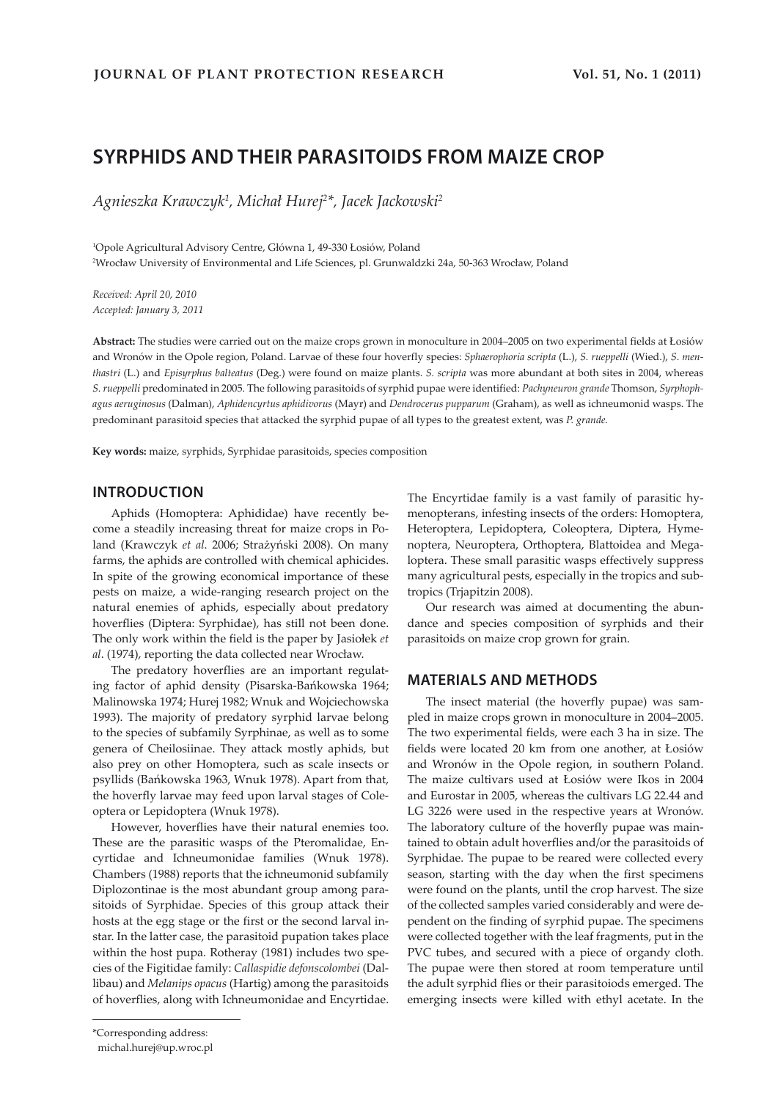# **SYRPHIDS AND THEIR PARASITOIDS FROM MAIZE CROP**

*Agnieszka Krawczyk1 , Michał Hurej<sup>2</sup> \*, Jacek Jackowski2*

1 Opole Agricultural Advisory Centre, Główna 1, 49-330 Łosiów, Poland 2 Wrocław University of Environmental and Life Sciences, pl. Grunwaldzki 24a, 50-363 Wrocław, Poland

*Received: April 20, 2010 Accepted: January 3, 2011*

**Abstract:** The studies were carried out on the maize crops grown in monoculture in 2004–2005 on two experimental fields at Łosiów and Wronów in the Opole region, Poland. Larvae of these four hoverfly species: *Sphaerophoria scripta* (L.), *S. rueppelli* (Wied.), *S*. *menthastri* (L.) and *Episyrphus balteatus* (Deg.) were found on maize plants. *S. scripta* was more abundant at both sites in 2004, whereas *S. rueppelli* predominated in 2005. The following parasitoids of syrphid pupae were identified: *Pachyneuron grande* Thomson, *Syrphophagus aeruginosus* (Dalman), *Aphidencyrtus aphidivorus* (Mayr) and *Dendrocerus pupparum* (Graham), as well as ichneumonid wasps. The predominant parasitoid species that attacked the syrphid pupae of all types to the greatest extent, was *P. grande.*

**Key words:** maize, syrphids, Syrphidae parasitoids, species composition

#### **INTRODUCTION**

Aphids (Homoptera: Aphididae) have recently become a steadily increasing threat for maize crops in Poland (Krawczyk *et al*. 2006; Strażyński 2008). On many farms, the aphids are controlled with chemical aphicides. In spite of the growing economical importance of these pests on maize, a wide-ranging research project on the natural enemies of aphids, especially about predatory hoverflies (Diptera: Syrphidae), has still not been done. The only work within the field is the paper by Jasiołek *et al*. (1974), reporting the data collected near Wrocław.

The predatory hoverflies are an important regulating factor of aphid density (Pisarska-Bańkowska 1964; Malinowska 1974; Hurej 1982; Wnuk and Wojciechowska 1993). The majority of predatory syrphid larvae belong to the species of subfamily Syrphinae, as well as to some genera of Cheilosiinae. They attack mostly aphids, but also prey on other Homoptera, such as scale insects or psyllids (Bańkowska 1963, Wnuk 1978). Apart from that, the hoverfly larvae may feed upon larval stages of Coleoptera or Lepidoptera (Wnuk 1978).

However, hoverflies have their natural enemies too. These are the parasitic wasps of the Pteromalidae, Encyrtidae and Ichneumonidae families (Wnuk 1978). Chambers (1988) reports that the ichneumonid subfamily Diplozontinae is the most abundant group among parasitoids of Syrphidae. Species of this group attack their hosts at the egg stage or the first or the second larval instar. In the latter case, the parasitoid pupation takes place within the host pupa. Rotheray (1981) includes two species of the Figitidae family: *Callaspidie defonscolombei* (Dallibau) and *Melanips opacus* (Hartig) among the parasitoids of hoverflies, along with Ichneumonidae and Encyrtidae. The Encyrtidae family is a vast family of parasitic hymenopterans, infesting insects of the orders: Homoptera, Heteroptera, Lepidoptera, Coleoptera, Diptera, Hymenoptera, Neuroptera, Orthoptera, Blattoidea and Megaloptera. These small parasitic wasps effectively suppress many agricultural pests, especially in the tropics and subtropics (Trjapitzin 2008).

Our research was aimed at documenting the abundance and species composition of syrphids and their parasitoids on maize crop grown for grain.

#### **MATERIALS AND METHODS**

The insect material (the hoverfly pupae) was sampled in maize crops grown in monoculture in 2004–2005. The two experimental fields, were each 3 ha in size. The fields were located 20 km from one another, at Łosiów and Wronów in the Opole region, in southern Poland. The maize cultivars used at Łosiów were Ikos in 2004 and Eurostar in 2005, whereas the cultivars LG 22.44 and LG 3226 were used in the respective years at Wronów. The laboratory culture of the hoverfly pupae was maintained to obtain adult hoverflies and/or the parasitoids of Syrphidae. The pupae to be reared were collected every season, starting with the day when the first specimens were found on the plants, until the crop harvest. The size of the collected samples varied considerably and were dependent on the finding of syrphid pupae. The specimens were collected together with the leaf fragments, put in the PVC tubes, and secured with a piece of organdy cloth. The pupae were then stored at room temperature until the adult syrphid flies or their parasitoiods emerged. The emerging insects were killed with ethyl acetate. In the

<sup>\*</sup>Corresponding address:

michal.hurej@up.wroc.pl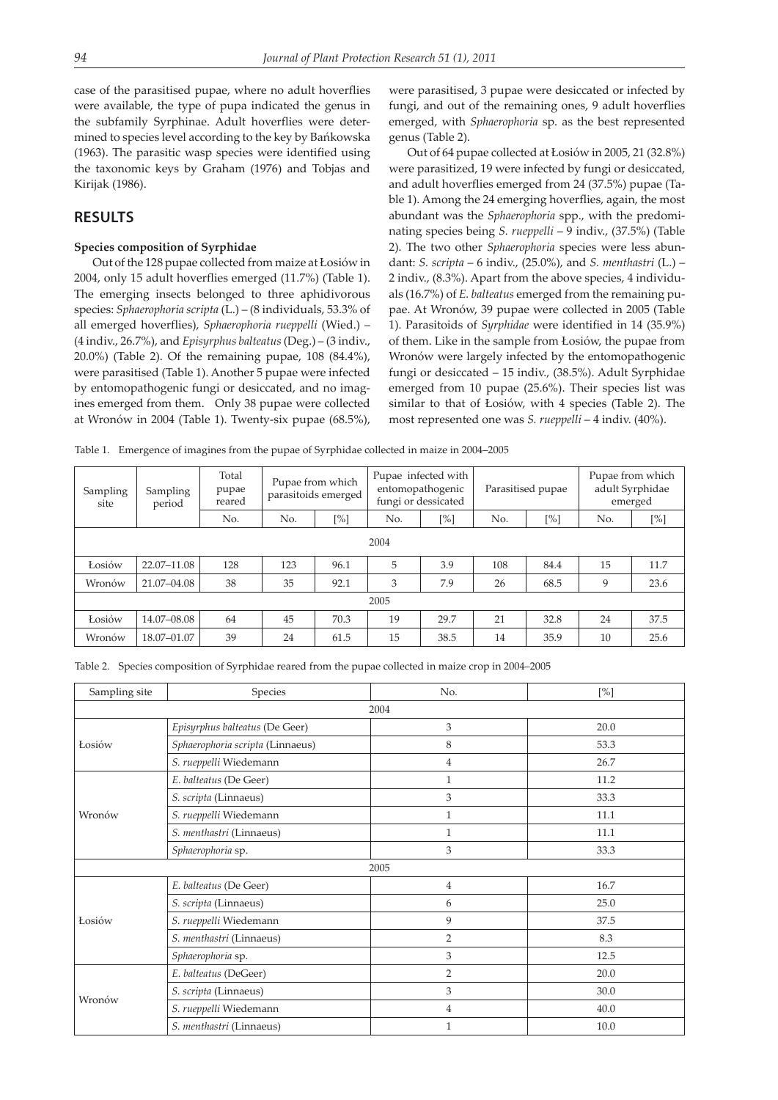case of the parasitised pupae, where no adult hoverflies were available, the type of pupa indicated the genus in the subfamily Syrphinae. Adult hoverflies were determined to species level according to the key by Bańkowska (1963). The parasitic wasp species were identified using the taxonomic keys by Graham (1976) and Tobjas and Kirijak (1986).

#### **RESULTS**

#### **Species composition of Syrphidae**

Out of the 128 pupae collected from maize at Łosiów in 2004, only 15 adult hoverflies emerged (11.7%) (Table 1). The emerging insects belonged to three aphidivorous species: *Sphaerophoria scripta* (L.) – (8 individuals, 53.3% of all emerged hoverflies), *Sphaerophoria rueppelli* (Wied.) – (4 indiv., 26.7%), and *Episyrphus balteatus* (Deg.) – (3 indiv., 20.0%) (Table 2). Of the remaining pupae, 108 (84.4%), were parasitised (Table 1). Another 5 pupae were infected by entomopathogenic fungi or desiccated, and no imagines emerged from them. Only 38 pupae were collected at Wronów in 2004 (Table 1). Twenty-six pupae (68.5%), were parasitised, 3 pupae were desiccated or infected by fungi, and out of the remaining ones, 9 adult hoverflies emerged, with *Sphaerophoria* sp. as the best represented genus (Table 2).

Out of 64 pupae collected at Łosiów in 2005, 21 (32.8%) were parasitized, 19 were infected by fungi or desiccated, and adult hoverflies emerged from 24 (37.5%) pupae (Table 1). Among the 24 emerging hoverflies, again, the most abundant was the *Sphaerophoria* spp., with the predominating species being *S. rueppelli* – 9 indiv., (37.5%) (Table 2). The two other *Sphaerophoria* species were less abundant: *S. scripta* – 6 indiv., (25.0%), and *S. menthastri* (L.) – 2 indiv., (8.3%). Apart from the above species, 4 individuals (16.7%) of *E. balteatus* emerged from the remaining pupae. At Wronów, 39 pupae were collected in 2005 (Table 1). Parasitoids of *Syrphidae* were identified in 14 (35.9%) of them. Like in the sample from Łosiów, the pupae from Wronów were largely infected by the entomopathogenic fungi or desiccated – 15 indiv., (38.5%). Adult Syrphidae emerged from 10 pupae (25.6%). Their species list was similar to that of Łosiów, with 4 species (Table 2). The most represented one was *S. rueppelli* – 4 indiv. (40%).

Table 1. Emergence of imagines from the pupae of Syrphidae collected in maize in 2004–2005

| Sampling<br>site | Sampling<br>period | Total<br>pupae<br>reared | Pupae from which<br>parasitoids emerged |      | Pupae infected with<br>entomopathogenic<br>fungi or dessicated |        | Parasitised pupae |        | Pupae from which<br>adult Syrphidae<br>emerged |      |  |
|------------------|--------------------|--------------------------|-----------------------------------------|------|----------------------------------------------------------------|--------|-------------------|--------|------------------------------------------------|------|--|
|                  |                    | No.                      | No.                                     | [%]  | No.                                                            | $[\%]$ | No.               | $[\%]$ | No.                                            | [%]  |  |
|                  | 2004               |                          |                                         |      |                                                                |        |                   |        |                                                |      |  |
| Łosiów           | 22.07-11.08        | 128                      | 123                                     | 96.1 | 5                                                              | 3.9    | 108               | 84.4   | 15                                             | 11.7 |  |
| Wronów           | 21.07-04.08        | 38                       | 35                                      | 92.1 | 3                                                              | 7.9    | 26                | 68.5   | 9                                              | 23.6 |  |
| 2005             |                    |                          |                                         |      |                                                                |        |                   |        |                                                |      |  |
| Łosiów           | 14.07-08.08        | 64                       | 45                                      | 70.3 | 19                                                             | 29.7   | 21                | 32.8   | 24                                             | 37.5 |  |
| Wronów           | 18.07-01.07        | 39                       | 24                                      | 61.5 | 15                                                             | 38.5   | 14                | 35.9   | 10                                             | 25.6 |  |

Table 2. Species composition of Syrphidae reared from the pupae collected in maize crop in 2004–2005

| Sampling site | Species                          | No.            | [%]  |  |  |
|---------------|----------------------------------|----------------|------|--|--|
|               |                                  | 2004           |      |  |  |
|               | Episyrphus balteatus (De Geer)   | 3              | 20.0 |  |  |
| Łosiów        | Sphaerophoria scripta (Linnaeus) | 8              | 53.3 |  |  |
|               | S. rueppelli Wiedemann           | $\overline{4}$ | 26.7 |  |  |
|               | E. balteatus (De Geer)           | $\mathbf{1}$   | 11.2 |  |  |
|               | S. scripta (Linnaeus)            | 3              | 33.3 |  |  |
| Wronów        | S. rueppelli Wiedemann           | $\mathbf{1}$   | 11.1 |  |  |
|               | S. menthastri (Linnaeus)         | $\mathbf{1}$   | 11.1 |  |  |
|               | Sphaerophoria sp.                | 3              | 33.3 |  |  |
|               |                                  | 2005           |      |  |  |
|               | E. balteatus (De Geer)           | $\overline{4}$ | 16.7 |  |  |
|               | S. scripta (Linnaeus)            | 6              | 25.0 |  |  |
| Łosiów        | S. rueppelli Wiedemann           | 9              | 37.5 |  |  |
|               | S. menthastri (Linnaeus)         | 2              | 8.3  |  |  |
|               | Sphaerophoria sp.                | 3              | 12.5 |  |  |
|               | E. balteatus (DeGeer)            | $\overline{2}$ | 20.0 |  |  |
|               | S. scripta (Linnaeus)            | 3              | 30.0 |  |  |
| Wronów        | S. rueppelli Wiedemann           | $\overline{4}$ | 40.0 |  |  |
|               | S. menthastri (Linnaeus)         | $\mathbf{1}$   | 10.0 |  |  |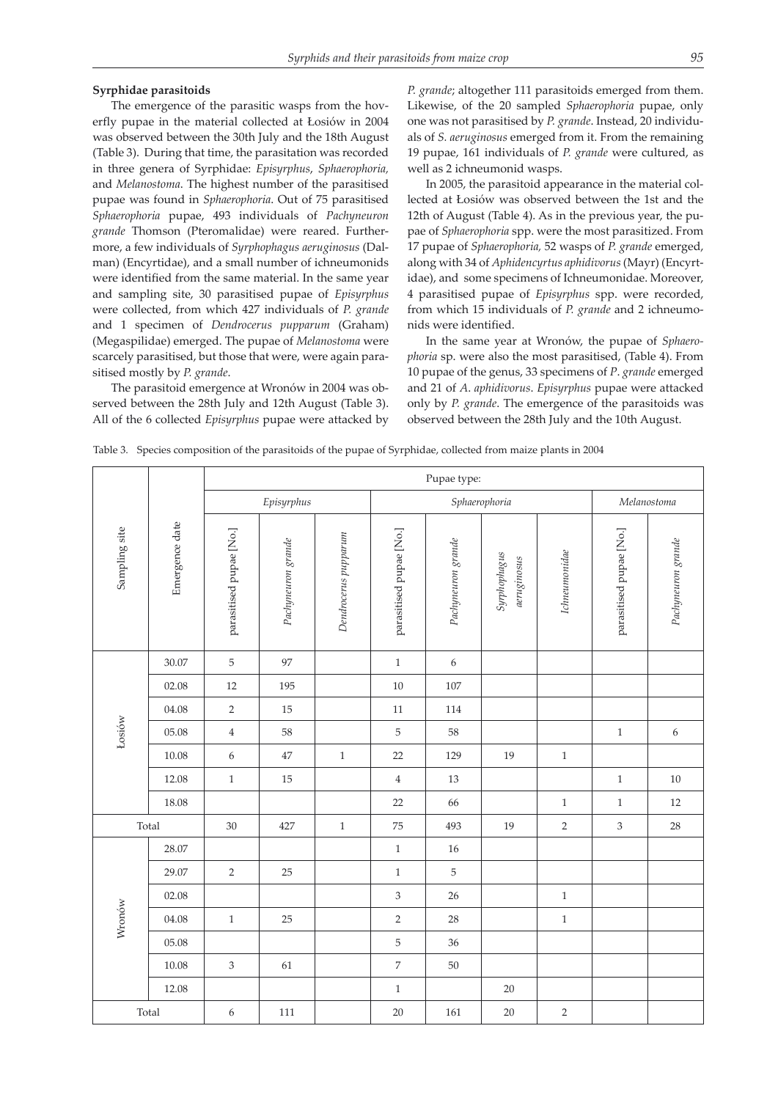#### **Syrphidae parasitoids**

The emergence of the parasitic wasps from the hoverfly pupae in the material collected at Łosiów in 2004 was observed between the 30th July and the 18th August (Table 3). During that time, the parasitation was recorded in three genera of Syrphidae: *Episyrphus*, *Sphaerophoria,* and *Melanostoma*. The highest number of the parasitised pupae was found in *Sphaerophoria*. Out of 75 parasitised *Sphaerophoria* pupae, 493 individuals of *Pachyneuron grande* Thomson (Pteromalidae) were reared. Furthermore, a few individuals of *Syrphophagus aeruginosus* (Dalman) (Encyrtidae), and a small number of ichneumonids were identified from the same material. In the same year and sampling site, 30 parasitised pupae of *Episyrphus* were collected, from which 427 individuals of *P. grande* and 1 specimen of *Dendrocerus pupparum* (Graham) (Megaspilidae) emerged. The pupae of *Melanostoma* were scarcely parasitised, but those that were, were again parasitised mostly by *P. grande*.

The parasitoid emergence at Wronów in 2004 was observed between the 28th July and 12th August (Table 3). All of the 6 collected *Episyrphus* pupae were attacked by *P. grande*; altogether 111 parasitoids emerged from them. Likewise, of the 20 sampled *Sphaerophoria* pupae, only one was not parasitised by *P. grande*. Instead, 20 individuals of *S. aeruginosus* emerged from it. From the remaining 19 pupae, 161 individuals of *P. grande* were cultured, as well as 2 ichneumonid wasps.

In 2005, the parasitoid appearance in the material collected at Łosiów was observed between the 1st and the 12th of August (Table 4). As in the previous year, the pupae of *Sphaerophoria* spp. were the most parasitized. From 17 pupae of *Sphaerophoria,* 52 wasps of *P. grande* emerged, along with 34 of *Aphidencyrtus aphidivorus* (Mayr) (Encyrtidae), and some specimens of Ichneumonidae. Moreover, 4 parasitised pupae of *Episyrphus* spp. were recorded, from which 15 individuals of *P. grande* and 2 ichneumonids were identified.

In the same year at Wronów, the pupae of *Sphaerophoria* sp. were also the most parasitised, (Table 4). From 10 pupae of the genus, 33 specimens of *P*. *grande* emerged and 21 of *A*. *aphidivorus*. *Episyrphus* pupae were attacked only by *P. grande*. The emergence of the parasitoids was observed between the 28th July and the 10th August.

|  |  |  | Table 3. Species composition of the parasitoids of the pupae of Syrphidae, collected from maize plants in 2004 |
|--|--|--|----------------------------------------------------------------------------------------------------------------|
|  |  |  |                                                                                                                |

| Sampling site | Emergence date | Pupae type:               |                    |                      |                         |                    |                             |               |                             |                    |
|---------------|----------------|---------------------------|--------------------|----------------------|-------------------------|--------------------|-----------------------------|---------------|-----------------------------|--------------------|
|               |                | Episyrphus                |                    |                      |                         | Sphaerophoria      | Melanostoma                 |               |                             |                    |
|               |                | parasitised pupae [No.]   | Pachyneuron grande | Dendrocerus pupparum | parasitised pupae [No.] | Pachyneuron grande | Syrphophagus<br>aeruginosus | Ichneumonidae | parasitised pupae [No.]     | Pachyneuron grande |
|               | 30.07          | 5                         | 97                 |                      | $1\,$                   | 6                  |                             |               |                             |                    |
|               | 02.08          | $12\,$                    | 195                |                      | $10\,$                  | 107                |                             |               |                             |                    |
|               | 04.08          | $\overline{2}$            | 15                 |                      | $11\,$                  | 114                |                             |               |                             |                    |
| Łosiów        | 05.08          | $\overline{4}$            | 58                 |                      | 5                       | 58                 |                             |               | $\,1\,$                     | $\boldsymbol{6}$   |
|               | 10.08          | $\epsilon$                | $47\,$             | $\,1\,$              | $22\,$                  | 129                | 19                          | $\,1\,$       |                             |                    |
|               | 12.08          | $\,1$                     | 15                 |                      | $\overline{4}$          | $13\,$             |                             |               | $\,1\,$                     | $10\,$             |
|               | 18.08          |                           |                    |                      | 22                      | 66                 |                             | $\,1\,$       | $\mathbf{1}$                | 12                 |
|               | Total          |                           | 427                | $\,1$                | $75\,$                  | 493                | 19                          | $\sqrt{2}$    | $\ensuremath{\mathfrak{Z}}$ | $28\,$             |
|               | 28.07          |                           |                    |                      | $\,1$                   | 16                 |                             |               |                             |                    |
|               | 29.07          | $\overline{2}$            | 25                 |                      | $\mathbf{1}$            | $\,$ 5 $\,$        |                             |               |                             |                    |
|               | 02.08          |                           |                    |                      | 3                       | 26                 |                             | $\,1\,$       |                             |                    |
| Wronów        | 04.08          | $\,1$                     | $25\,$             |                      | $\overline{2}$          | 28                 |                             | $\,1\,$       |                             |                    |
|               | 05.08          |                           |                    |                      | $\mathbf 5$             | 36                 |                             |               |                             |                    |
|               | 10.08          | $\ensuremath{\mathsf{3}}$ | 61                 |                      | $\,7$                   | $50\,$             |                             |               |                             |                    |
|               | 12.08          |                           |                    |                      | $\,1$                   |                    | $20\,$                      |               |                             |                    |
| Total         |                | 6                         | 111                |                      | 20                      | 161                | 20                          | $\sqrt{2}$    |                             |                    |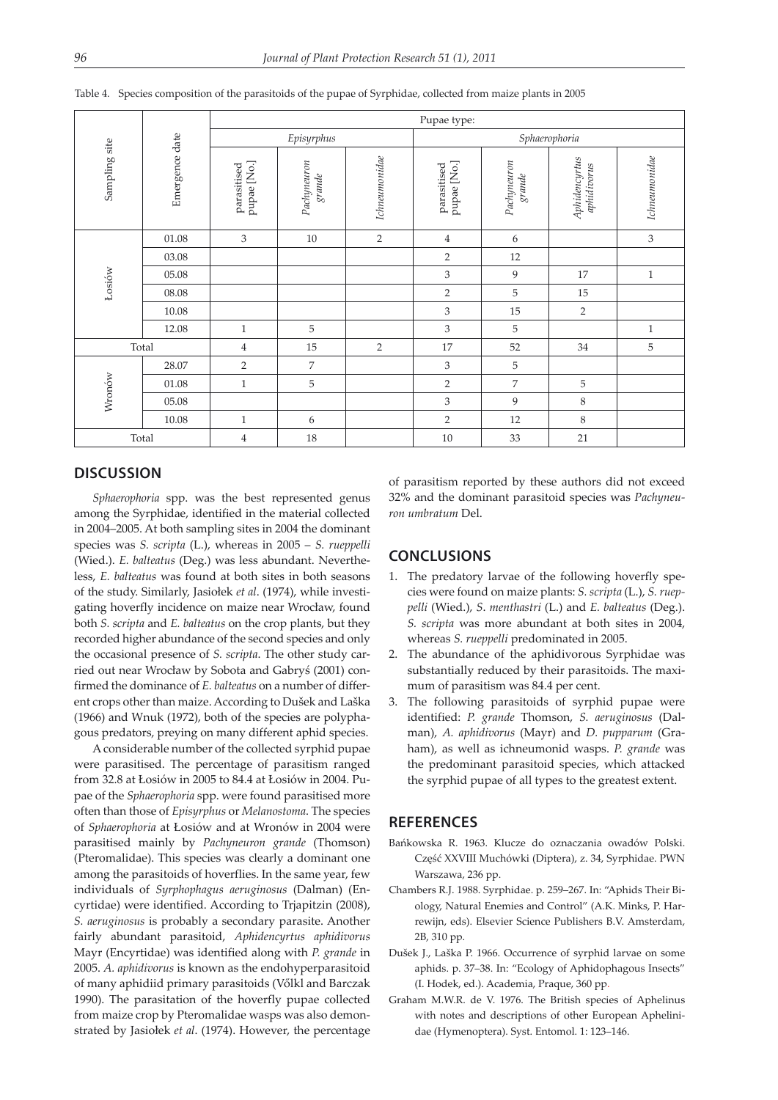|               | Emergence date | Pupae type:                |                      |                |                            |                       |                              |                |  |  |  |
|---------------|----------------|----------------------------|----------------------|----------------|----------------------------|-----------------------|------------------------------|----------------|--|--|--|
|               |                |                            | Episyrphus           |                | Sphaerophoria              |                       |                              |                |  |  |  |
| Sampling site |                | pupae [No.]<br>parasitised | Pachynewon<br>grande | Ichneumonidae  | pupae [No.]<br>parasitised | Pachyneuron<br>grande | Aphidencyrtus<br>aphidivorus | Ichneumonidae  |  |  |  |
|               | 01.08          | 3                          | 10                   | $\overline{2}$ | $\overline{4}$             | 6                     |                              | $\mathfrak{Z}$ |  |  |  |
|               | 03.08          |                            |                      |                | $\overline{2}$             | 12                    |                              |                |  |  |  |
|               | 05.08          |                            |                      |                | 3                          | 9                     | 17                           | $\mathbf{1}$   |  |  |  |
| Łosiów        | 08.08          |                            |                      |                | $\overline{2}$             | 5                     | 15                           |                |  |  |  |
|               | 10.08          |                            |                      |                | 3                          | 15                    | $\overline{2}$               |                |  |  |  |
|               | 12.08          | $\mathbf{1}$               | 5                    |                | 3                          | 5                     |                              | $\mathbf{1}$   |  |  |  |
|               | Total          | $\overline{4}$             | 15                   | $\overline{2}$ | 17                         | 52                    | 34                           | $\mathbf 5$    |  |  |  |
|               | 28.07          | 2                          | 7                    |                | 3                          | 5                     |                              |                |  |  |  |
|               | 01.08          | $\mathbf{1}$               | 5                    |                | $\overline{2}$             | $\overline{7}$        | $\mathbf 5$                  |                |  |  |  |
| Wronów        | 05.08          |                            |                      |                | 3                          | 9                     | $\,8\,$                      |                |  |  |  |
|               | 10.08          | $\mathbf{1}$               | 6                    |                | $\overline{2}$             | 12                    | 8                            |                |  |  |  |
| Total         |                | $\overline{4}$             | 18                   |                | 10                         | 33                    | 21                           |                |  |  |  |

Table 4. Species composition of the parasitoids of the pupae of Syrphidae, collected from maize plants in 2005

#### **DISCUSSION**

*Sphaerophoria* spp. was the best represented genus among the Syrphidae, identified in the material collected in 2004–2005. At both sampling sites in 2004 the dominant species was *S. scripta* (L.), whereas in 2005 – *S. rueppelli*  (Wied.). *E. balteatus* (Deg.) was less abundant. Nevertheless, *E. balteatus* was found at both sites in both seasons of the study. Similarly, Jasiołek *et al*. (1974), while investigating hoverfly incidence on maize near Wrocław, found both *S. scripta* and *E. balteatus* on the crop plants, but they recorded higher abundance of the second species and only the occasional presence of *S. scripta*. The other study carried out near Wrocław by Sobota and Gabryś (2001) confirmed the dominance of *E. balteatus* on a number of different crops other than maize. According to Dušek and Laška (1966) and Wnuk (1972), both of the species are polyphagous predators, preying on many different aphid species.

A considerable number of the collected syrphid pupae were parasitised. The percentage of parasitism ranged from 32.8 at Łosiów in 2005 to 84.4 at Łosiów in 2004. Pupae of the *Sphaerophoria* spp. were found parasitised more often than those of *Episyrphus* or *Melanostoma*. The species of *Sphaerophoria* at Łosiów and at Wronów in 2004 were parasitised mainly by *Pachyneuron grande* (Thomson) (Pteromalidae). This species was clearly a dominant one among the parasitoids of hoverflies. In the same year, few individuals of *Syrphophagus aeruginosus* (Dalman) (Encyrtidae) were identified. According to Trjapitzin (2008), *S. aeruginosus* is probably a secondary parasite. Another fairly abundant parasitoid, *Aphidencyrtus aphidivorus* Mayr (Encyrtidae) was identified along with *P. grande* in 2005. *A. aphidivorus* is known as the endohyperparasitoid of many aphidiid primary parasitoids (Vőlkl and Barczak 1990). The parasitation of the hoverfly pupae collected from maize crop by Pteromalidae wasps was also demonstrated by Jasiołek *et al*. (1974). However, the percentage of parasitism reported by these authors did not exceed 32% and the dominant parasitoid species was *Pachyneuron umbratum* Del.

#### **CONCLUSIONS**

- 1. The predatory larvae of the following hoverfly species were found on maize plants: *S. scripta* (L.), *S. rueppelli* (Wied.), *S*. *menthastri* (L.) and *E. balteatus* (Deg.). *S. scripta* was more abundant at both sites in 2004, whereas *S. rueppelli* predominated in 2005.
- 2. The abundance of the aphidivorous Syrphidae was substantially reduced by their parasitoids. The maximum of parasitism was 84.4 per cent.
- 3. The following parasitoids of syrphid pupae were identified: *P. grande* Thomson, *S. aeruginosus* (Dalman), *A. aphidivorus* (Mayr) and *D. pupparum* (Graham), as well as ichneumonid wasps. *P. grande* was the predominant parasitoid species, which attacked the syrphid pupae of all types to the greatest extent.

### **REFERENCES**

- Bańkowska R. 1963. Klucze do oznaczania owadów Polski. Część XXVIII Muchówki (Diptera), z. 34, Syrphidae. PWN Warszawa, 236 pp.
- Chambers R.J. 1988. Syrphidae. p. 259–267. In: "Aphids Their Biology, Natural Enemies and Control" (A.K. Minks, P. Harrewijn, eds). Elsevier Science Publishers B.V. Amsterdam, 2B, 310 pp.
- Dušek J., Laška P. 1966. Occurrence of syrphid larvae on some aphids. p. 37–38. In: "Ecology of Aphidophagous Insects" (I. Hodek, ed.). Academia, Praque, 360 pp.
- Graham M.W.R. de V. 1976. The British species of Aphelinus with notes and descriptions of other European Aphelinidae (Hymenoptera). Syst. Entomol. 1: 123–146.